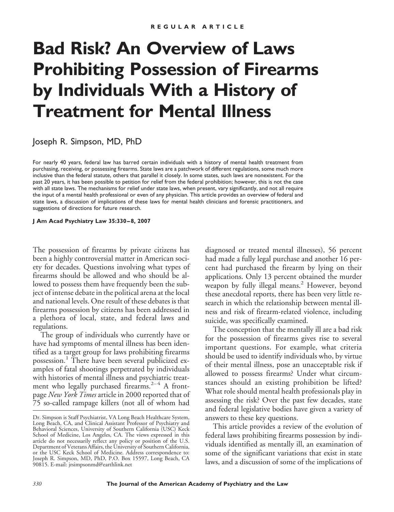# **Bad Risk? An Overview of Laws Prohibiting Possession of Firearms by Individuals With a History of Treatment for Mental Illness**

Joseph R. Simpson, MD, PhD

For nearly 40 years, federal law has barred certain individuals with a history of mental health treatment from purchasing, receiving, or possessing firearms. State laws are a patchwork of different regulations, some much more inclusive than the federal statute, others that parallel it closely. In some states, such laws are nonexistent. For the past 20 years, it has been possible to petition for relief from the federal prohibition; however, this is not the case with all state laws. The mechanisms for relief under state laws, when present, vary significantly, and not all require the input of a mental health professional or even of any physician. This article provides an overview of federal and state laws, a discussion of implications of these laws for mental health clinicians and forensic practitioners, and suggestions of directions for future research.

**J Am Acad Psychiatry Law 35:330 – 8, 2007**

The possession of firearms by private citizens has been a highly controversial matter in American society for decades. Questions involving what types of firearms should be allowed and who should be allowed to possess them have frequently been the subject of intense debate in the political arena at the local and national levels. One result of these debates is that firearms possession by citizens has been addressed in a plethora of local, state, and federal laws and regulations.

The group of individuals who currently have or have had symptoms of mental illness has been identified as a target group for laws prohibiting firearms possession.<sup>1</sup> There have been several publicized examples of fatal shootings perpetrated by individuals with histories of mental illness and psychiatric treatment who legally purchased firearms. $2-4$  A frontpage *New York Times* article in 2000 reported that of 75 so-called rampage killers (not all of whom had

diagnosed or treated mental illnesses), 56 percent had made a fully legal purchase and another 16 percent had purchased the firearm by lying on their applications. Only 13 percent obtained the murder weapon by fully illegal means.<sup>2</sup> However, beyond these anecdotal reports, there has been very little research in which the relationship between mental illness and risk of firearm-related violence, including suicide, was specifically examined.

The conception that the mentally ill are a bad risk for the possession of firearms gives rise to several important questions. For example, what criteria should be used to identify individuals who, by virtue of their mental illness, pose an unacceptable risk if allowed to possess firearms? Under what circumstances should an existing prohibition be lifted? What role should mental health professionals play in assessing the risk? Over the past few decades, state and federal legislative bodies have given a variety of answers to these key questions.

This article provides a review of the evolution of federal laws prohibiting firearms possession by individuals identified as mentally ill, an examination of some of the significant variations that exist in state laws, and a discussion of some of the implications of

Dr. Simpson is Staff Psychiatrist, VA Long Beach Healthcare System, Long Beach, CA, and Clinical Assistant Professor of Psychiatry and Behavioral Sciences, University of Southern California (USC) Keck School of Medicine, Los Angeles, CA. The views expressed in this article do not necessarily reflect any policy or position of the U.S. Department of Veterans Affairs, the University of Southern California, or the USC Keck School of Medicine. Address correspondence to: Joseph R. Simpson, MD, PhD, P.O. Box 15597, Long Beach, CA 90815. E-mail: jrsimpsonmd@earthlink.net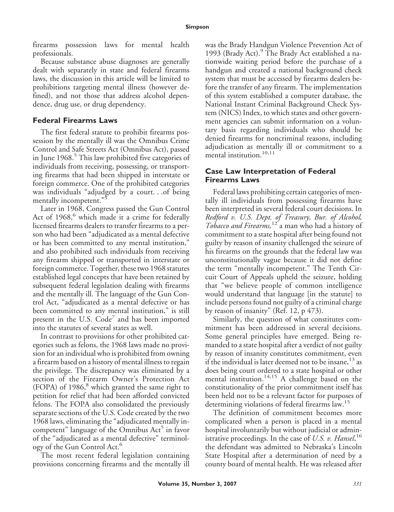firearms possession laws for mental health professionals.

Because substance abuse diagnoses are generally dealt with separately in state and federal firearms laws, the discussion in this article will be limited to prohibitions targeting mental illness (however defined), and not those that address alcohol dependence, drug use, or drug dependency.

# **Federal Firearms Laws**

The first federal statute to prohibit firearms possession by the mentally ill was the Omnibus Crime Control and Safe Streets Act (Omnibus Act), passed in June 1968.<sup>5</sup> This law prohibited five categories of individuals from receiving, possessing, or transporting firearms that had been shipped in interstate or foreign commerce. One of the prohibited categories was individuals "adjudged by a court. . .of being mentally incompetent."<sup>5</sup>

Later in 1968, Congress passed the Gun Control Act of  $1968$ , which made it a crime for federally licensed firearms dealers to transfer firearms to a person who had been "adjudicated as a mental defective or has been committed to any mental institution," and also prohibited such individuals from receiving any firearm shipped or transported in interstate or foreign commerce. Together, these two 1968 statutes established legal concepts that have been retained by subsequent federal legislation dealing with firearms and the mentally ill. The language of the Gun Control Act, "adjudicated as a mental defective or has been committed to any mental institution," is still present in the U.S.  $Code<sup>7</sup>$  and has been imported into the statutes of several states as well.

In contrast to provisions for other prohibited categories such as felons, the 1968 laws made no provision for an individual who is prohibited from owning a firearm based on a history of mental illness to regain the privilege. The discrepancy was eliminated by a section of the Firearm Owner's Protection Act (FOPA) of  $1986$ ,<sup>8</sup> which granted the same right to petition for relief that had been afforded convicted felons. The FOPA also consolidated the previously separate sections of the U.S. Code created by the two 1968 laws, eliminating the "adjudicated mentally incompetent" language of the Omnibus  $Act<sup>5</sup>$  in favor of the "adjudicated as a mental defective" terminology of the Gun Control Act.<sup>6</sup>

The most recent federal legislation containing provisions concerning firearms and the mentally ill was the Brady Handgun Violence Prevention Act of 1993 (Brady Act).<sup>9</sup> The Brady Act established a nationwide waiting period before the purchase of a handgun and created a national background check system that must be accessed by firearms dealers before the transfer of any firearm. The implementation of this system established a computer database, the National Instant Criminal Background Check System (NICS) Index, to which states and other government agencies can submit information on a voluntary basis regarding individuals who should be denied firearms for noncriminal reasons, including adjudication as mentally ill or commitment to a mental institution.<sup>10,11</sup>

# **Case Law Interpretation of Federal Firearms Laws**

Federal laws prohibiting certain categories of mentally ill individuals from possessing firearms have been interpreted in several federal court decisions. In *Redford v. U.S. Dept. of Treasury, Bur. of Alcohol, Tobacco and Firearms,*<sup>12</sup> a man who had a history of commitment to a state hospital after being found not guilty by reason of insanity challenged the seizure of his firearms on the grounds that the federal law was unconstitutionally vague because it did not define the term "mentally incompetent." The Tenth Circuit Court of Appeals upheld the seizure, holding that "we believe people of common intelligence would understand that language [in the statute] to include persons found not guilty of a criminal charge by reason of insanity" (Ref. 12, p 473).

Similarly, the question of what constitutes commitment has been addressed in several decisions. Some general principles have emerged. Being remanded to a state hospital after a verdict of not guilty by reason of insanity constitutes commitment, even if the individual is later deemed not to be insane,  $13$  as does being court ordered to a state hospital or other mental institution.<sup>14,15</sup> A challenge based on the constitutionality of the prior commitment itself has been held not to be a relevant factor for purposes of determining violations of federal firearms law.<sup>15</sup>

The definition of commitment becomes more complicated when a person is placed in a mental hospital involuntarily but without judicial or administrative proceedings. In the case of *U.S. v. Hansel*, 16 the defendant was admitted to Nebraska's Lincoln State Hospital after a determination of need by a county board of mental health. He was released after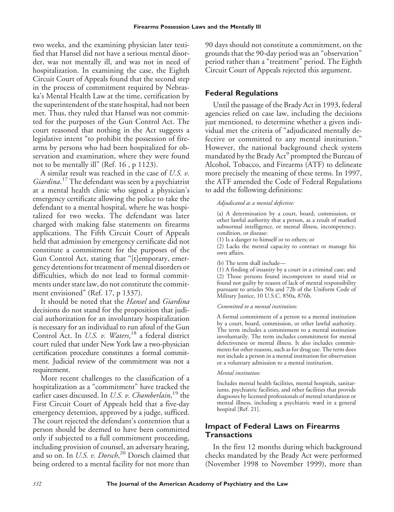two weeks, and the examining physician later testified that Hansel did not have a serious mental disorder, was not mentally ill, and was not in need of hospitalization. In examining the case, the Eighth Circuit Court of Appeals found that the second step in the process of commitment required by Nebraska's Mental Health Law at the time, certification by the superintendent of the state hospital, had not been met. Thus, they ruled that Hansel was not committed for the purposes of the Gun Control Act. The court reasoned that nothing in the Act suggests a legislative intent "to prohibit the possession of firearms by persons who had been hospitalized for observation and examination, where they were found not to be mentally ill" (Ref. 16 , p 1123).

A similar result was reached in the case of *U.S. v. Giardina*. <sup>17</sup> The defendant was seen by a psychiatrist at a mental health clinic who signed a physician's emergency certificate allowing the police to take the defendant to a mental hospital, where he was hospitalized for two weeks. The defendant was later charged with making false statements on firearms applications. The Fifth Circuit Court of Appeals held that admission by emergency certificate did not constitute a commitment for the purposes of the Gun Control Act, stating that "[t]emporary, emergency detentions for treatment of mental disorders or difficulties, which do not lead to formal commitments under state law, do not constitute the commitment envisioned" (Ref. 17, p 1337).

It should be noted that the *Hansel* and *Giardina* decisions do not stand for the proposition that judicial authorization for an involuntary hospitalization is necessary for an individual to run afoul of the Gun Control Act. In *U.S. v. Waters*, <sup>18</sup> a federal district court ruled that under New York law a two-physician certification procedure constitutes a formal commitment. Judicial review of the commitment was not a requirement.

More recent challenges to the classification of a hospitalization as a "commitment" have tracked the earlier cases discussed. In *U.S. v. Chamberlain*, <sup>19</sup> the First Circuit Court of Appeals held that a five-day emergency detention, approved by a judge, sufficed. The court rejected the defendant's contention that a person should be deemed to have been committed only if subjected to a full commitment proceeding, including provision of counsel, an adversary hearing, and so on. In *U.S. v. Dorsch*, <sup>20</sup> Dorsch claimed that being ordered to a mental facility for not more than 90 days should not constitute a commitment, on the grounds that the 90-day period was an "observation" period rather than a "treatment" period. The Eighth Circuit Court of Appeals rejected this argument.

# **Federal Regulations**

Until the passage of the Brady Act in 1993, federal agencies relied on case law, including the decisions just mentioned, to determine whether a given individual met the criteria of "adjudicated mentally defective or committed to any mental institution." However, the national background check system mandated by the Brady Act<sup>9</sup> prompted the Bureau of Alcohol, Tobacco, and Firearms (ATF) to delineate more precisely the meaning of these terms. In 1997, the ATF amended the Code of Federal Regulations to add the following definitions:

### *Adjudicated as a mental defective:*

(a) A determination by a court, board, commission, or other lawful authority that a person, as a result of marked subnormal intelligence, or mental illness, incompetency, condition, or disease:

(1) Is a danger to himself or to others; or

(2) Lacks the mental capacity to contract or manage his own affairs.

(b) The term shall include—

(1) A finding of insanity by a court in a criminal case; and (2) Those persons found incompetent to stand trial or found not guilty by reason of lack of mental responsibility pursuant to articles 50a and 72b of the Uniform Code of Military Justice, 10 U.S.C. 850a, 876b.

#### *Committed to a mental institution:*

A formal commitment of a person to a mental institution by a court, board, commission, or other lawful authority. The term includes a commitment to a mental institution involuntarily. The term includes commitment for mental defectiveness or mental illness. It also includes commitments for other reasons, such as for drug use. The term does not include a person in a mental institution for observation or a voluntary admission to a mental institution.

#### *Mental institution:*

Includes mental health facilities, mental hospitals, sanitariums, psychiatric facilities, and other facilities that provide diagnoses by licensed professionals of mental retardation or mental illness, including a psychiatric ward in a general hospital [Ref. 21].

## **Impact of Federal Laws on Firearms Transactions**

In the first 12 months during which background checks mandated by the Brady Act were performed (November 1998 to November 1999), more than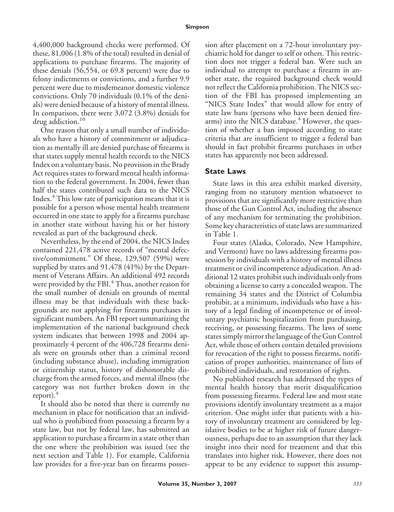#### **Simpson**

4,400,000 background checks were performed. Of these, 81,006 (1.8% of the total) resulted in denial of applications to purchase firearms. The majority of these denials (56,554, or 69.8 percent) were due to felony indictments or convictions, and a further 9.9 percent were due to misdemeanor domestic violence convictions. Only 70 individuals (0.1% of the denials) were denied because of a history of mental illness. In comparison, there were 3,072 (3.8%) denials for drug addiction.<sup>10</sup>

One reason that only a small number of individuals who have a history of commitment or adjudication as mentally ill are denied purchase of firearms is that states supply mental health records to the NICS Index on a voluntary basis. No provision in the Brady Act requires states to forward mental health information to the federal government. In 2004, fewer than half the states contributed such data to the NICS Index.<sup>4</sup> This low rate of participation means that it is possible for a person whose mental health treatment occurred in one state to apply for a firearms purchase in another state without having his or her history revealed as part of the background check.

Nevertheless, by the end of 2004, the NICS Index contained 221,478 active records of "mental defective/commitment." Of these, 129,507 (59%) were supplied by states and 91,478 (41%) by the Department of Veterans Affairs. An additional 492 records were provided by the FBI.<sup>4</sup> Thus, another reason for the small number of denials on grounds of mental illness may be that individuals with these backgrounds are not applying for firearms purchases in significant numbers. An FBI report summarizing the implementation of the national background check system indicates that between 1998 and 2004 approximately 4 percent of the 406,728 firearms denials were on grounds other than a criminal record (including substance abuse), including immigration or citizenship status, history of dishonorable discharge from the armed forces, and mental illness (the category was not further broken down in the report). $4$ 

It should also be noted that there is currently no mechanism in place for notification that an individual who is prohibited from possessing a firearm by a state law, but not by federal law, has submitted an application to purchase a firearm in a state other than the one where the prohibition was issued (see the next section and Table 1). For example, California law provides for a five-year ban on firearms possession after placement on a 72-hour involuntary psychiatric hold for danger to self or others. This restriction does not trigger a federal ban. Were such an individual to attempt to purchase a firearm in another state, the required background check would not reflect the California prohibition. The NICS section of the FBI has proposed implementing an "NICS State Index" that would allow for entry of state law bans (persons who have been denied firearms) into the NICS database.<sup>4</sup> However, the question of whether a ban imposed according to state criteria that are insufficient to trigger a federal ban should in fact prohibit firearms purchases in other states has apparently not been addressed.

### **State Laws**

State laws in this area exhibit marked diversity, ranging from no statutory mention whatsoever to provisions that are significantly more restrictive than those of the Gun Control Act, including the absence of any mechanism for terminating the prohibition. Some key characteristics of state laws are summarized in Table 1.

Four states (Alaska, Colorado, New Hampshire, and Vermont) have no laws addressing firearms possession by individuals with a history of mental illness treatment or civil incompetence adjudication. An additional 12 states prohibit such individuals only from obtaining a license to carry a concealed weapon. The remaining 34 states and the District of Columbia prohibit, at a minimum, individuals who have a history of a legal finding of incompetence or of involuntary psychiatric hospitalization from purchasing, receiving, or possessing firearms. The laws of some states simply mirror the language of the Gun Control Act, while those of others contain detailed provisions for revocation of the right to possess firearms, notification of proper authorities, maintenance of lists of prohibited individuals, and restoration of rights.

No published research has addressed the types of mental health history that merit disqualification from possessing firearms. Federal law and most state provisions identify involuntary treatment as a major criterion. One might infer that patients with a history of involuntary treatment are considered by legislative bodies to be at higher risk of future dangerousness, perhaps due to an assumption that they lack insight into their need for treatment and that this translates into higher risk. However, there does not appear to be any evidence to support this assump-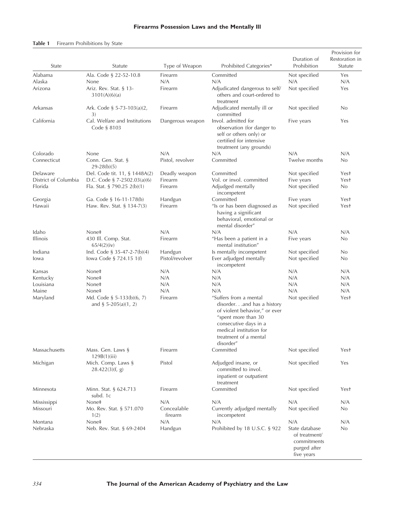## **Firearms Possession Laws and the Mentally Ill**

## **Table 1** Firearm Prohibitions by State

| State                | Statute                                             | Type of Weapon         | Prohibited Categories*                                                                                                                                                                                 | Duration of<br>Prohibition                                                   | Provision for<br>Restoration in<br>Statute |
|----------------------|-----------------------------------------------------|------------------------|--------------------------------------------------------------------------------------------------------------------------------------------------------------------------------------------------------|------------------------------------------------------------------------------|--------------------------------------------|
| Alabama              | Ala. Code § 22-52-10.8                              | Firearm                | Committed                                                                                                                                                                                              | Not specified                                                                | Yes                                        |
| Alaska<br>Arizona    | None<br>Ariz. Rev. Stat. § 13-<br>3101(A)(6)(a)     | N/A<br>Firearm         | N/A<br>Adjudicated dangerous to self/<br>others and court-ordered to<br>treatment                                                                                                                      | N/A<br>Not specified                                                         | N/A<br>Yes                                 |
| Arkansas             | Ark. Code § 5-73-103(a)(2,<br>3)                    | Firearm                | Adjudicated mentally ill or<br>committed                                                                                                                                                               | Not specified                                                                | No                                         |
| California           | Cal. Welfare and Institutions<br>Code § 8103        | Dangerous weapon       | Invol. admitted for<br>observation (for danger to<br>self or others only) or<br>certified for intensive<br>treatment (any grounds)                                                                     | Five years                                                                   | Yes                                        |
| Colorado             | None                                                | N/A                    | N/A                                                                                                                                                                                                    | N/A                                                                          | N/A                                        |
| Connecticut          | Conn. Gen. Stat. §<br>$29-28(b)(5)$                 | Pistol, revolver       | Committed                                                                                                                                                                                              | Twelve months                                                                | No                                         |
| Delaware             | Del. Code tit. 11, § 1448A(2)                       | Deadly weapon          | Committed                                                                                                                                                                                              | Not specified                                                                | Yest                                       |
| District of Columbia | D.C. Code § 7-2502.03(a)(6)                         | Firearm                | Vol. or invol. committed                                                                                                                                                                               | Five years                                                                   | Yest                                       |
| Florida              | Fla. Stat. § 790.25 2(b)(1)                         | Firearm                | Adjudged mentally<br>incompetent                                                                                                                                                                       | Not specified                                                                | No                                         |
| Georgia              | Ga. Code § 16-11-178(b)                             | Handgun                | Committed                                                                                                                                                                                              | Five years                                                                   | Yest                                       |
| Hawaii               | Haw. Rev. Stat. § 134-7(3)                          | Firearm                | "Is or has been diagnosed as<br>having a significant<br>behavioral, emotional or<br>mental disorder"                                                                                                   | Not specified                                                                | Yest                                       |
| Idaho                | None‡                                               | N/A                    | N/A                                                                                                                                                                                                    | N/A                                                                          | N/A                                        |
| <b>Illinois</b>      | 430 Ill. Comp. Stat.<br>65/4(2)(iv)                 | Firearm                | "Has been a patient in a<br>mental institution"                                                                                                                                                        | Five years                                                                   | No                                         |
| Indiana              | Ind. Code § 35-47-2-7(b)(4)                         | Handgun                | Is mentally incompetent                                                                                                                                                                                | Not specified                                                                | No                                         |
| lowa                 | lowa Code § 724.15 1(f)                             | Pistol/revolver        | Ever adjudged mentally<br>incompetent                                                                                                                                                                  | Not specified                                                                | No                                         |
| Kansas               | None‡                                               | N/A                    | N/A                                                                                                                                                                                                    | N/A                                                                          | N/A                                        |
| Kentucky             | None‡                                               | N/A                    | N/A                                                                                                                                                                                                    | N/A                                                                          | N/A                                        |
| Louisiana            | None‡                                               | N/A                    | N/A                                                                                                                                                                                                    | N/A                                                                          | N/A                                        |
| Maine                | None‡                                               | N/A                    | N/A                                                                                                                                                                                                    | N/A                                                                          | N/A                                        |
| Maryland             | Md. Code § 5-133(b)(6, 7)<br>and § $5-205(a)(1, 2)$ | Firearm                | "Suffers from a mental<br>disorder.and has a history<br>of violent behavior," or ever<br>"spent more than 30<br>consecutive days in a<br>medical institution for<br>treatment of a mental<br>disorder" | Not specified                                                                | Yest                                       |
| Massachusetts        | Mass. Gen. Laws §<br>129B(1)(iii)                   | Firearm                | Committed                                                                                                                                                                                              | Not specified                                                                | Yest                                       |
| Michigan             | Mich. Comp. Laws §<br>28.422(3)(f, g)               | Pistol                 | Adjudged insane, or<br>committed to invol.<br>inpatient or outpatient<br>treatment                                                                                                                     | Not specified                                                                | Yes                                        |
| Minnesota            | Minn. Stat. § 624.713<br>subd. 1c                   | Firearm                | Committed                                                                                                                                                                                              | Not specified                                                                | Yest                                       |
| Mississippi          | None‡                                               | N/A                    | N/A                                                                                                                                                                                                    | N/A                                                                          | N/A                                        |
| Missouri             | Mo. Rev. Stat. § 571.070<br>1(2)                    | Concealable<br>firearm | Currently adjudged mentally<br>incompetent                                                                                                                                                             | Not specified                                                                | No                                         |
| Montana              | None‡                                               | N/A                    | N/A                                                                                                                                                                                                    | N/A                                                                          | N/A                                        |
| Nebraska             | Neb. Rev. Stat. § 69-2404                           | Handgun                | Prohibited by 18 U.S.C. § 922                                                                                                                                                                          | State database<br>of treatment/<br>commitments<br>purged after<br>five years | No                                         |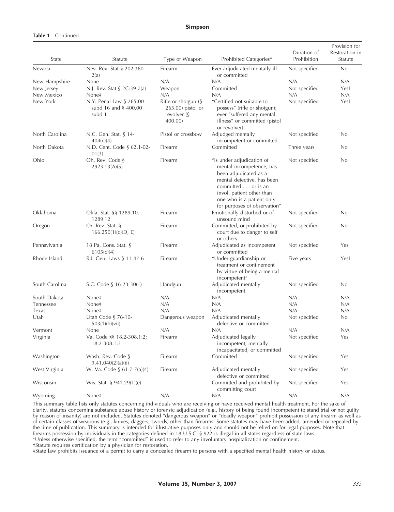#### **Simpson**

#### **Table 1** Continued.

| State          | Statute                                                      | Type of Weapon                                                     | Prohibited Categories*                                                                                                                                                                       | Duration of<br>Prohibition | Provision for<br>Restoration in<br>Statute |
|----------------|--------------------------------------------------------------|--------------------------------------------------------------------|----------------------------------------------------------------------------------------------------------------------------------------------------------------------------------------------|----------------------------|--------------------------------------------|
| Nevada         | Nev. Rev. Stat § 202.360<br>2(a)                             | Firearm                                                            | Ever adjudicated mentally ill<br>or committed                                                                                                                                                | Not specified              | No                                         |
| New Hampshire  | None                                                         | N/A                                                                | N/A                                                                                                                                                                                          | N/A                        | N/A                                        |
| New Jersey     | N.J. Rev. Stat § 2C:39-7(a)                                  | Weapon                                                             | Committed                                                                                                                                                                                    | Not specified              | Yest                                       |
| New Mexico     | None‡                                                        | N/A                                                                | N/A                                                                                                                                                                                          | N/A                        | N/A                                        |
| New York       | N.Y. Penal Law § 265.00<br>subd 16 and $\S$ 400.00<br>subd 1 | Rifle or shotgun (§<br>265.00) pistol or<br>revolver (§<br>400.00) | "Certified not suitable to<br>possess" (rifle or shotgun);<br>ever "suffered any mental<br>illness" or committed (pistol<br>or revolver)                                                     | Not specified              | Yest                                       |
| North Carolina | N.C. Gen. Stat. § 14-<br>404(c)(4)                           | Pistol or crossbow                                                 | Adjudged mentally<br>incompetent or committed                                                                                                                                                | Not specified              | No                                         |
| North Dakota   | N.D. Cent. Code § 62.1-02-<br>01(3)                          | Firearm                                                            | Committed                                                                                                                                                                                    | Three years                | No                                         |
| Ohio           | Oh. Rev. Code §<br>2923.13(A)(5)                             | Firearm                                                            | "Is under adjudication of<br>mental incompetence, has<br>been adjudicated as a<br>mental defective, has been<br>committed or is an<br>invol. patient other than<br>one who is a patient only | Not specified              | No                                         |
|                |                                                              |                                                                    | for purposes of observation"                                                                                                                                                                 |                            |                                            |
| Oklahoma       | Okla. Stat. §§ 1289.10,<br>1289.12                           | Firearm                                                            | Emotionally disturbed or of<br>unsound mind                                                                                                                                                  | Not specified              | No                                         |
| Oregon         | Or. Rev. Stat. §<br>166.250(1)(c)(D, E)                      | Firearm                                                            | Committed, or prohibited by<br>court due to danger to self<br>or others                                                                                                                      | Not specified              | No                                         |
| Pennsylvania   | 18 Pa. Cons. Stat. §<br>6105(c)(4)                           | Firearm                                                            | Adjudicated as incompetent<br>or committed                                                                                                                                                   | Not specified              | Yes                                        |
| Rhode Island   | R.I. Gen. Laws § 11-47-6                                     | Firearm                                                            | "Under guardianship or<br>treatment or confinement<br>by virtue of being a mental<br>incompetent"                                                                                            | Five years                 | Yest                                       |
| South Carolina | S.C. Code § 16-23-30(1)                                      | Handgun                                                            | Adjudicated mentally<br>incompetent                                                                                                                                                          | Not specified              | No                                         |
| South Dakota   | None‡                                                        | N/A                                                                | N/A                                                                                                                                                                                          | N/A                        | N/A                                        |
| Tennessee      | None‡                                                        | N/A                                                                | N/A                                                                                                                                                                                          | N/A                        | N/A                                        |
| Texas          | None‡                                                        | N/A                                                                | N/A                                                                                                                                                                                          | N/A                        | N/A                                        |
| Utah           | Utah Code § 76-10-<br>503(1)(b)(vii)                         | Dangerous weapon                                                   | Adjudicated mentally<br>defective or committed                                                                                                                                               | Not specified              | No.                                        |
| Vermont        | None                                                         | N/A                                                                | N/A                                                                                                                                                                                          | N/A                        | N/A                                        |
| Virginia       | Va. Code §§ 18.2-308.1:2;<br>18.2-308.1:3                    | Firearm                                                            | Adjudicated legally<br>incompetent, mentally<br>incapacitated, or committed                                                                                                                  | Not specified              | Yes                                        |
| Washington     | Wash. Rev. Code §<br>9.41.040(2)(a)(ii)                      | Firearm                                                            | Committed                                                                                                                                                                                    | Not specitied              | Yes                                        |
| West Virginia  | W. Va. Code § 61-7-7(a)(4)                                   | Firearm                                                            | Adjudicated mentally<br>defective or committed                                                                                                                                               | Not specified              | Yes                                        |
| Wisconsin      | Wis. Stat. $\S$ 941.29(1)(e)                                 |                                                                    | Committed and prohibited by<br>committing court                                                                                                                                              | Not specified              | Yes                                        |
| Wyoming        | None‡                                                        | N/A                                                                | N/A                                                                                                                                                                                          | N/A                        | N/A                                        |

This summary table lists only statutes concerning individuals who are receiving or have received mental health treatment. For the sake of clarity, statutes concerning substance abuse history or forensic adjudication (e.g., history of being found incompetent to stand trial or not guilty by reason of insanity) are not included. Statutes denoted "dangerous weapon" or "deadly weapon" prohibit possession of any firearm as well as of certain classes of weapons (e.g., knives, daggers, swords) other than firearms. Some statutes may have been added, amended or repealed by the time of publication. This summary is intended for illustrative purposes only and should not be relied on for legal purposes. Note that firearms possession by individuals in the categories defined in 18 U.S.C. § 922 is illegal in all states regardless of state laws. \*Unless otherwise specified, the term "committed" is used to refer to any involuntary hospitalization or confinement.

†Statute requires certification by a physician for restoration.

‡State law prohibits issuance of a permit to carry a concealed firearm to persons with a specified mental health history or status.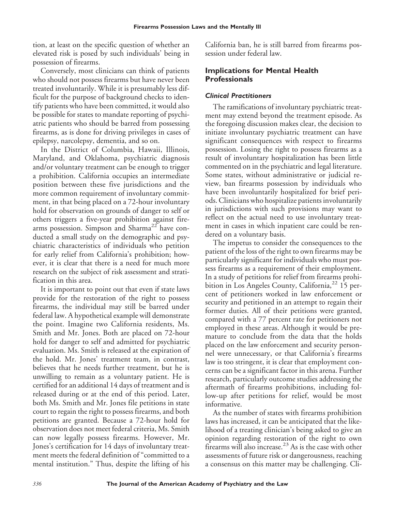tion, at least on the specific question of whether an elevated risk is posed by such individuals' being in possession of firearms.

Conversely, most clinicians can think of patients who should not possess firearms but have never been treated involuntarily. While it is presumably less difficult for the purpose of background checks to identify patients who have been committed, it would also be possible for states to mandate reporting of psychiatric patients who should be barred from possessing firearms, as is done for driving privileges in cases of epilepsy, narcolepsy, dementia, and so on.

In the District of Columbia, Hawaii, Illinois, Maryland, and Oklahoma, psychiatric diagnosis and/or voluntary treatment can be enough to trigger a prohibition. California occupies an intermediate position between these five jurisdictions and the more common requirement of involuntary commitment, in that being placed on a 72-hour involuntary hold for observation on grounds of danger to self or others triggers a five-year prohibition against firearms possession. Simpson and Sharma<sup>22</sup> have conducted a small study on the demographic and psychiatric characteristics of individuals who petition for early relief from California's prohibition; however, it is clear that there is a need for much more research on the subject of risk assessment and stratification in this area.

It is important to point out that even if state laws provide for the restoration of the right to possess firearms, the individual may still be barred under federal law. A hypothetical example will demonstrate the point. Imagine two California residents, Ms. Smith and Mr. Jones. Both are placed on 72-hour hold for danger to self and admitted for psychiatric evaluation. Ms. Smith is released at the expiration of the hold. Mr. Jones' treatment team, in contrast, believes that he needs further treatment, but he is unwilling to remain as a voluntary patient. He is certified for an additional 14 days of treatment and is released during or at the end of this period. Later, both Ms. Smith and Mr. Jones file petitions in state court to regain the right to possess firearms, and both petitions are granted. Because a 72-hour hold for observation does not meet federal criteria, Ms. Smith can now legally possess firearms. However, Mr. Jones's certification for 14 days of involuntary treatment meets the federal definition of "committed to a mental institution." Thus, despite the lifting of his

California ban, he is still barred from firearms possession under federal law.

# **Implications for Mental Health Professionals**

## *Clinical Practitioners*

The ramifications of involuntary psychiatric treatment may extend beyond the treatment episode. As the foregoing discussion makes clear, the decision to initiate involuntary psychiatric treatment can have significant consequences with respect to firearms possession. Losing the right to possess firearms as a result of involuntary hospitalization has been little commented on in the psychiatric and legal literature. Some states, without administrative or judicial review, ban firearms possession by individuals who have been involuntarily hospitalized for brief periods. Clinicians who hospitalize patients involuntarily in jurisdictions with such provisions may want to reflect on the actual need to use involuntary treatment in cases in which inpatient care could be rendered on a voluntary basis.

The impetus to consider the consequences to the patient of the loss of the right to own firearms may be particularly significant for individuals who must possess firearms as a requirement of their employment. In a study of petitions for relief from firearms prohibition in Los Angeles County, California,<sup>22</sup> 15 percent of petitioners worked in law enforcement or security and petitioned in an attempt to regain their former duties. All of their petitions were granted, compared with a 77 percent rate for petitioners not employed in these areas. Although it would be premature to conclude from the data that the holds placed on the law enforcement and security personnel were unnecessary, or that California's firearms law is too stringent, it is clear that employment concerns can be a significant factor in this arena. Further research, particularly outcome studies addressing the aftermath of firearms prohibitions, including follow-up after petitions for relief, would be most informative.

As the number of states with firearms prohibition laws has increased, it can be anticipated that the likelihood of a treating clinician's being asked to give an opinion regarding restoration of the right to own firearms will also increase.<sup>23</sup> As is the case with other assessments of future risk or dangerousness, reaching a consensus on this matter may be challenging. Cli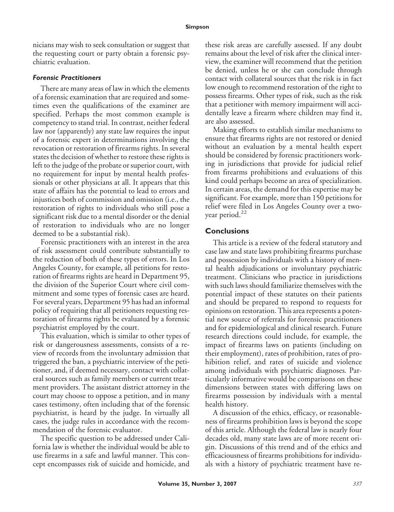nicians may wish to seek consultation or suggest that the requesting court or party obtain a forensic psychiatric evaluation.

#### *Forensic Practitioners*

There are many areas of law in which the elements of a forensic examination that are required and sometimes even the qualifications of the examiner are specified. Perhaps the most common example is competency to stand trial. In contrast, neither federal law nor (apparently) any state law requires the input of a forensic expert in determinations involving the revocation or restoration of firearms rights. In several states the decision of whether to restore these rights is left to the judge of the probate or superior court, with no requirement for input by mental health professionals or other physicians at all. It appears that this state of affairs has the potential to lead to errors and injustices both of commission and omission (i.e., the restoration of rights to individuals who still pose a significant risk due to a mental disorder or the denial of restoration to individuals who are no longer deemed to be a substantial risk).

Forensic practitioners with an interest in the area of risk assessment could contribute substantially to the reduction of both of these types of errors. In Los Angeles County, for example, all petitions for restoration of firearms rights are heard in Department 95, the division of the Superior Court where civil commitment and some types of forensic cases are heard. For several years, Department 95 has had an informal policy of requiring that all petitioners requesting restoration of firearms rights be evaluated by a forensic psychiatrist employed by the court.

This evaluation, which is similar to other types of risk or dangerousness assessments, consists of a review of records from the involuntary admission that triggered the ban, a psychiatric interview of the petitioner, and, if deemed necessary, contact with collateral sources such as family members or current treatment providers. The assistant district attorney in the court may choose to oppose a petition, and in many cases testimony, often including that of the forensic psychiatrist, is heard by the judge. In virtually all cases, the judge rules in accordance with the recommendation of the forensic evaluator.

The specific question to be addressed under California law is whether the individual would be able to use firearms in a safe and lawful manner. This concept encompasses risk of suicide and homicide, and

these risk areas are carefully assessed. If any doubt remains about the level of risk after the clinical interview, the examiner will recommend that the petition be denied, unless he or she can conclude through contact with collateral sources that the risk is in fact low enough to recommend restoration of the right to possess firearms. Other types of risk, such as the risk that a petitioner with memory impairment will accidentally leave a firearm where children may find it, are also assessed.

Making efforts to establish similar mechanisms to ensure that firearms rights are not restored or denied without an evaluation by a mental health expert should be considered by forensic practitioners working in jurisdictions that provide for judicial relief from firearms prohibitions and evaluations of this kind could perhaps become an area of specialization. In certain areas, the demand for this expertise may be significant. For example, more than 150 petitions for relief were filed in Los Angeles County over a twoyear period.<sup>22</sup>

## **Conclusions**

This article is a review of the federal statutory and case law and state laws prohibiting firearms purchase and possession by individuals with a history of mental health adjudications or involuntary psychiatric treatment. Clinicians who practice in jurisdictions with such laws should familiarize themselves with the potential impact of these statutes on their patients and should be prepared to respond to requests for opinions on restoration. This area represents a potential new source of referrals for forensic practitioners and for epidemiological and clinical research. Future research directions could include, for example, the impact of firearms laws on patients (including on their employment), rates of prohibition, rates of prohibition relief, and rates of suicide and violence among individuals with psychiatric diagnoses. Particularly informative would be comparisons on these dimensions between states with differing laws on firearms possession by individuals with a mental health history.

A discussion of the ethics, efficacy, or reasonableness of firearms prohibition laws is beyond the scope of this article. Although the federal law is nearly four decades old, many state laws are of more recent origin. Discussions of this trend and of the ethics and efficaciousness of firearms prohibitions for individuals with a history of psychiatric treatment have re